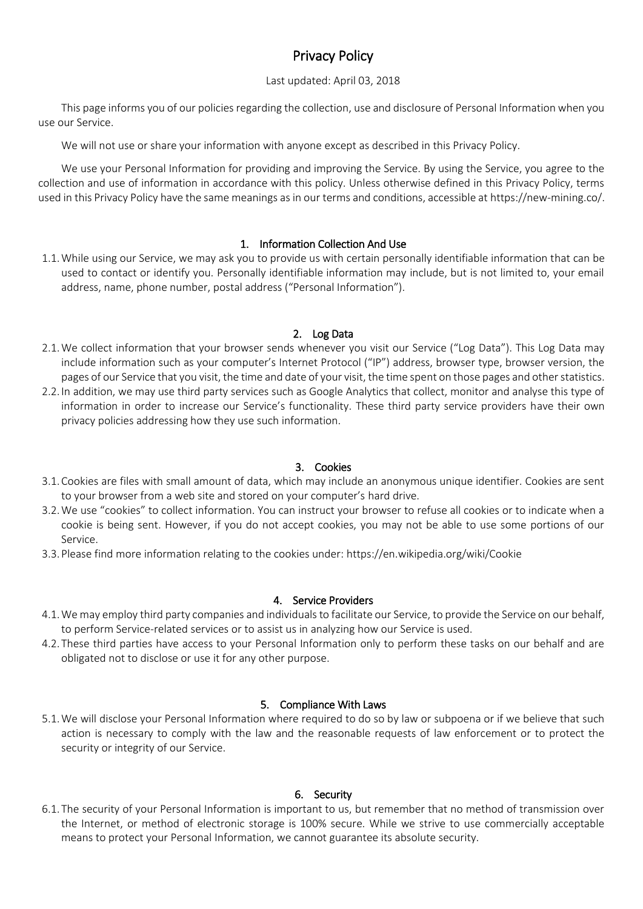# Privacy Policy

# Last updated: April 03, 2018

This page informs you of our policies regarding the collection, use and disclosure of Personal Information when you use our Service.

We will not use or share your information with anyone except as described in this Privacy Policy.

We use your Personal Information for providing and improving the Service. By using the Service, you agree to the collection and use of information in accordance with this policy. Unless otherwise defined in this Privacy Policy, terms used in this Privacy Policy have the same meanings as in our terms and conditions, accessible at https://new-mining.co/.

## 1. Information Collection And Use

1.1.While using our Service, we may ask you to provide us with certain personally identifiable information that can be used to contact or identify you. Personally identifiable information may include, but is not limited to, your email address, name, phone number, postal address ("Personal Information").

## 2. Log Data

- 2.1.We collect information that your browser sends whenever you visit our Service ("Log Data"). This Log Data may include information such as your computer's Internet Protocol ("IP") address, browser type, browser version, the pages of our Service that you visit, the time and date of your visit, the time spent on those pages and other statistics.
- 2.2. In addition, we may use third party services such as Google Analytics that collect, monitor and analyse this type of information in order to increase our Service's functionality. These third party service providers have their own privacy policies addressing how they use such information.

#### 3. Cookies

- 3.1.Cookies are files with small amount of data, which may include an anonymous unique identifier. Cookies are sent to your browser from a web site and stored on your computer's hard drive.
- 3.2.We use "cookies" to collect information. You can instruct your browser to refuse all cookies or to indicate when a cookie is being sent. However, if you do not accept cookies, you may not be able to use some portions of our Service.
- 3.3.Please find more information relating to the cookies under: https://en.wikipedia.org/wiki/Cookie

#### 4. Service Providers

- 4.1.We may employ third party companies and individuals to facilitate our Service, to provide the Service on our behalf, to perform Service-related services or to assist us in analyzing how our Service is used.
- 4.2. These third parties have access to your Personal Information only to perform these tasks on our behalf and are obligated not to disclose or use it for any other purpose.

#### 5. Compliance With Laws

5.1.We will disclose your Personal Information where required to do so by law or subpoena or if we believe that such action is necessary to comply with the law and the reasonable requests of law enforcement or to protect the security or integrity of our Service.

#### 6. Security

6.1. The security of your Personal Information is important to us, but remember that no method of transmission over the Internet, or method of electronic storage is 100% secure. While we strive to use commercially acceptable means to protect your Personal Information, we cannot guarantee its absolute security.